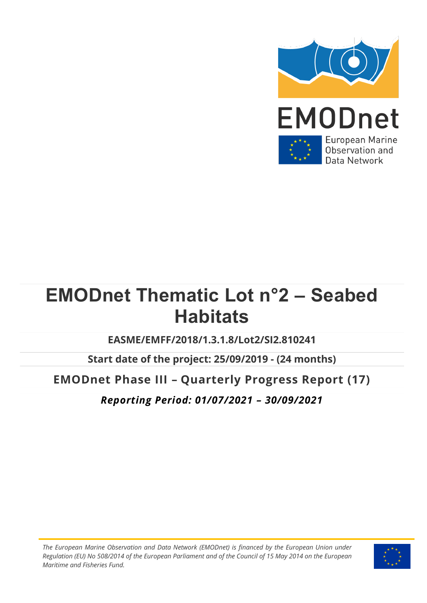

# **EMODnet Thematic Lot n°2 – Seabed Habitats**

**EASME/EMFF/2018/1.3.1.8/Lot2/SI2.810241**

**Start date of the project: 25/09/2019 - (24 months)** 

**EMODnet Phase III – Quarterly Progress Report (17)** 

*Reporting Period: 01/07/2021 – 30/09/2021*

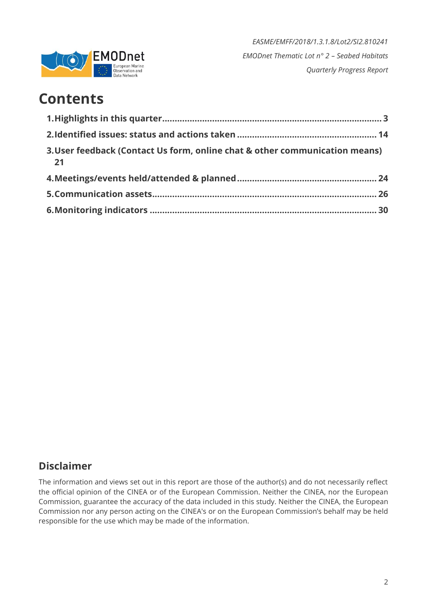

### **Contents**

| 3. User feedback (Contact Us form, online chat & other communication means)<br>21 |  |
|-----------------------------------------------------------------------------------|--|
|                                                                                   |  |
|                                                                                   |  |
|                                                                                   |  |

### **Disclaimer**

The information and views set out in this report are those of the author(s) and do not necessarily reflect the official opinion of the CINEA or of the European Commission. Neither the CINEA, nor the European Commission, guarantee the accuracy of the data included in this study. Neither the CINEA, the European Commission nor any person acting on the CINEA's or on the European Commission's behalf may be held responsible for the use which may be made of the information.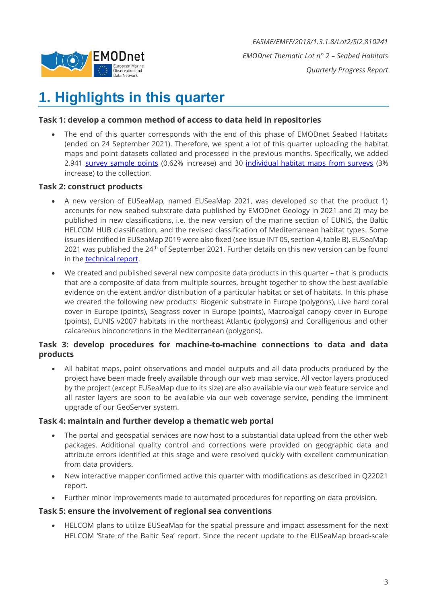

### <span id="page-2-0"></span>**1. Highlights in this quarter**

#### **Task 1: develop a common method of access to data held in repositories**

• The end of this quarter corresponds with the end of this phase of EMODnet Seabed Habitats (ended on 24 September 2021). Therefore, we spent a lot of this quarter uploading the habitat maps and point datasets collated and processed in the previous months. Specifically, we added 2,941 [survey sample points](https://www.emodnet-seabedhabitats.eu/access-data/launch-map-viewer/?zoom=4¢er=-3.508,52.305&layerIds=700&baseLayerId=-3&activeFilters=) (0.62% increase) and 30 [individual habitat maps from surveys](https://www.emodnet-seabedhabitats.eu/access-data/launch-map-viewer/?zoom=4¢er=-3.508,52.305&layerIds=500,501,502,510,520,521,522,1097,1121,1122,1123&baseLayerId=-3&activeFilters=) (3% increase) to the collection.

#### **Task 2: construct products**

- A new version of EUSeaMap, named EUSeaMap 2021, was developed so that the product 1) accounts for new seabed substrate data published by EMODnet Geology in 2021 and 2) may be published in new classifications, i.e. the new version of the marine section of EUNIS, the Baltic HELCOM HUB classification, and the revised classification of Mediterranean habitat types. Some issues identified in EUSeaMap 2019 were also fixed (see issue INT 05, section 4, table B). EUSeaMap 2021 was published the  $24<sup>th</sup>$  of September 2021. Further details on this new version can be found in the [technical report.](https://doi.org/10.13155/83528)
- We created and published several new composite data products in this quarter that is products that are a composite of data from multiple sources, brought together to show the best available evidence on the extent and/or distribution of a particular habitat or set of habitats. In this phase we created the following new products: Biogenic substrate in Europe (polygons), Live hard coral cover in Europe (points), Seagrass cover in Europe (points), Macroalgal canopy cover in Europe (points), EUNIS v2007 habitats in the northeast Atlantic (polygons) and Coralligenous and other calcareous bioconcretions in the Mediterranean (polygons).

#### **Task 3: develop procedures for machine-to-machine connections to data and data products**

• All habitat maps, point observations and model outputs and all data products produced by the project have been made freely available through our web map service. All vector layers produced by the project (except EUSeaMap due to its size) are also available via our web feature service and all raster layers are soon to be available via our web coverage service, pending the imminent upgrade of our GeoServer system.

#### **Task 4: maintain and further develop a thematic web portal**

- The portal and geospatial services are now host to a substantial data upload from the other web packages. Additional quality control and corrections were provided on geographic data and attribute errors identified at this stage and were resolved quickly with excellent communication from data providers.
- New interactive mapper confirmed active this quarter with modifications as described in Q22021 report.
- Further minor improvements made to automated procedures for reporting on data provision.

#### **Task 5: ensure the involvement of regional sea conventions**

• HELCOM plans to utilize EUSeaMap for the spatial pressure and impact assessment for the next HELCOM 'State of the Baltic Sea' report. Since the recent update to the EUSeaMap broad-scale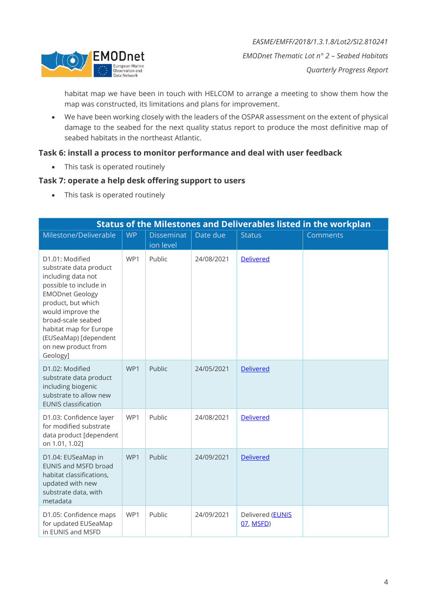

habitat map we have been in touch with HELCOM to arrange a meeting to show them how the map was constructed, its limitations and plans for improvement.

• We have been working closely with the leaders of the OSPAR assessment on the extent of physical damage to the seabed for the next quality status report to produce the most definitive map of seabed habitats in the northeast Atlantic.

#### **Task 6: install a process to monitor performance and deal with user feedback**

• This task is operated routinely

#### **Task 7: operate a help desk offering support to users**

• This task is operated routinely

|                                                                                                                                                                                                                                                                            | <b>Status of the Milestones and Deliverables listed in the workplan</b> |                                |            |                               |          |  |  |  |
|----------------------------------------------------------------------------------------------------------------------------------------------------------------------------------------------------------------------------------------------------------------------------|-------------------------------------------------------------------------|--------------------------------|------------|-------------------------------|----------|--|--|--|
| Milestone/Deliverable                                                                                                                                                                                                                                                      | <b>WP</b>                                                               | <b>Disseminat</b><br>ion level | Date due   | <b>Status</b>                 | Comments |  |  |  |
| D1.01: Modified<br>substrate data product<br>including data not<br>possible to include in<br><b>EMODnet Geology</b><br>product, but which<br>would improve the<br>broad-scale seabed<br>habitat map for Europe<br>(EUSeaMap) [dependent<br>on new product from<br>Geology] | WP1                                                                     | Public                         | 24/08/2021 | <b>Delivered</b>              |          |  |  |  |
| D1.02: Modified<br>substrate data product<br>including biogenic<br>substrate to allow new<br><b>EUNIS classification</b>                                                                                                                                                   | WP1                                                                     | Public                         | 24/05/2021 | <b>Delivered</b>              |          |  |  |  |
| D1.03: Confidence layer<br>for modified substrate<br>data product [dependent<br>on 1.01, 1.02]                                                                                                                                                                             | WP1                                                                     | Public                         | 24/08/2021 | <b>Delivered</b>              |          |  |  |  |
| D1.04: EUSeaMap in<br><b>EUNIS and MSFD broad</b><br>habitat classifications,<br>updated with new<br>substrate data, with<br>metadata                                                                                                                                      | WP1                                                                     | Public                         | 24/09/2021 | <b>Delivered</b>              |          |  |  |  |
| D1.05: Confidence maps<br>for updated EUSeaMap<br>in EUNIS and MSFD                                                                                                                                                                                                        | WP1                                                                     | Public                         | 24/09/2021 | Delivered (EUNIS<br>07, MSFD) |          |  |  |  |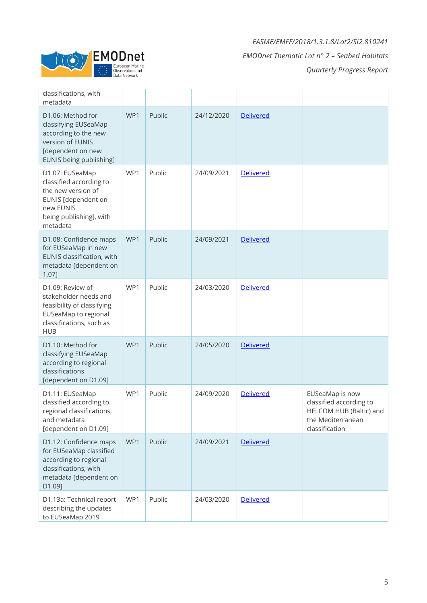

| classifications, with<br>metadata                                                                                                           |     |        |            |                  |                                                                                                              |
|---------------------------------------------------------------------------------------------------------------------------------------------|-----|--------|------------|------------------|--------------------------------------------------------------------------------------------------------------|
| D1.06: Method for<br>classifying EUSeaMap<br>according to the new<br>version of EUNIS<br>[dependent on new<br>EUNIS being publishing]       | WP1 | Public | 24/12/2020 | <b>Delivered</b> |                                                                                                              |
| D1.07: EUSeaMap<br>classified according to<br>the new version of<br>EUNIS [dependent on<br>new EUNIS<br>being publishing], with<br>metadata | WP1 | Public | 24/09/2021 | <b>Delivered</b> |                                                                                                              |
| D1.08: Confidence maps<br>for EUSeaMap in new<br>EUNIS classification, with<br>metadata [dependent on<br>1.07]                              | WP1 | Public | 24/09/2021 | <b>Delivered</b> |                                                                                                              |
| D1.09: Review of<br>stakeholder needs and<br>feasibility of classifying<br>EUSeaMap to regional<br>classifications, such as<br><b>HUB</b>   | WP1 | Public | 24/03/2020 | <b>Delivered</b> |                                                                                                              |
| D1.10: Method for<br>classifying EUSeaMap<br>according to regional<br>classifications<br>[dependent on D1.09]                               | WP1 | Public | 24/05/2020 | <b>Delivered</b> |                                                                                                              |
| D1.11: EUSeaMap<br>classified according to<br>regional classifications,<br>and metadata<br>[dependent on D1.09]                             | WP1 | Public | 24/09/2020 | <b>Delivered</b> | EUSeaMap is now<br>classified according to<br>HELCOM HUB (Baltic) and<br>the Mediterranean<br>classification |
| D1.12: Confidence maps<br>for EUSeaMap classified<br>according to regional<br>classifications, with<br>metadata [dependent on<br>D1.09]     | WP1 | Public | 24/09/2021 | <b>Delivered</b> |                                                                                                              |
| D1.13a: Technical report<br>describing the updates<br>to EUSeaMap 2019                                                                      | WP1 | Public | 24/03/2020 | <b>Delivered</b> |                                                                                                              |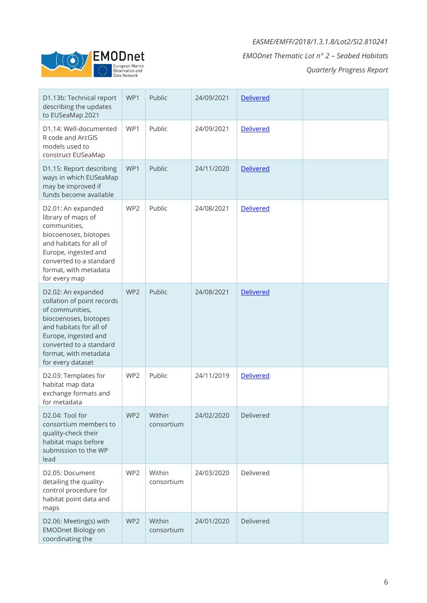

| D1.13b: Technical report<br>describing the updates<br>to EUSeaMap 2021                                                                                                                                                   | WP1 | Public               | 24/09/2021 | <b>Delivered</b> |  |
|--------------------------------------------------------------------------------------------------------------------------------------------------------------------------------------------------------------------------|-----|----------------------|------------|------------------|--|
| D1.14: Well-documented<br>R code and ArcGIS<br>models used to<br>construct EUSeaMap                                                                                                                                      | WP1 | Public               | 24/09/2021 | <b>Delivered</b> |  |
| D1.15: Report describing<br>ways in which EUSeaMap<br>may be improved if<br>funds become available                                                                                                                       | WP1 | Public               | 24/11/2020 | <b>Delivered</b> |  |
| D2.01: An expanded<br>library of maps of<br>communities,<br>biocoenoses, biotopes<br>and habitats for all of<br>Europe, ingested and<br>converted to a standard<br>format, with metadata<br>for every map                | WP2 | Public               | 24/08/2021 | <b>Delivered</b> |  |
| D2.02: An expanded<br>collation of point records<br>of communities,<br>biocoenoses, biotopes<br>and habitats for all of<br>Europe, ingested and<br>converted to a standard<br>format, with metadata<br>for every dataset | WP2 | Public               | 24/08/2021 | <b>Delivered</b> |  |
| D2.03: Templates for<br>habitat map data<br>exchange formats and<br>for metadata                                                                                                                                         | WP2 | Public               | 24/11/2019 | <b>Delivered</b> |  |
| D2.04: Tool for<br>consortium members to<br>quality-check their<br>habitat maps before<br>submission to the WP<br>lead                                                                                                   | WP2 | Within<br>consortium | 24/02/2020 | Delivered        |  |
| D2.05: Document<br>detailing the quality-<br>control procedure for<br>habitat point data and<br>maps                                                                                                                     | WP2 | Within<br>consortium | 24/03/2020 | Delivered        |  |
| D2.06: Meeting(s) with<br><b>EMODnet Biology on</b><br>coordinating the                                                                                                                                                  | WP2 | Within<br>consortium | 24/01/2020 | Delivered        |  |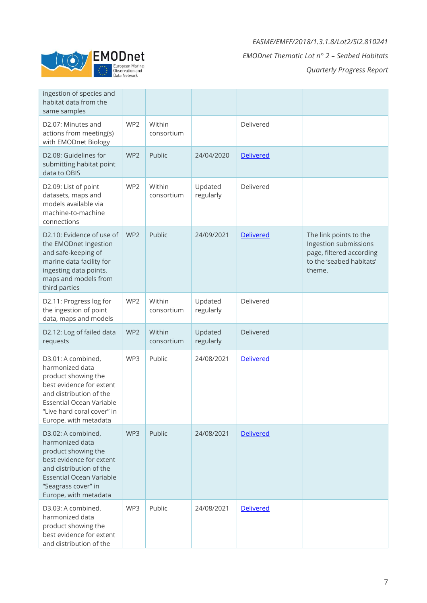EMODnet  $\left(\left(\bigcirc\right)$ 

| ingestion of species and<br>habitat data from the<br>same samples                                                                                                                                             |                 |                      |                      |                  |                                                                                                                   |
|---------------------------------------------------------------------------------------------------------------------------------------------------------------------------------------------------------------|-----------------|----------------------|----------------------|------------------|-------------------------------------------------------------------------------------------------------------------|
| D2.07: Minutes and<br>actions from meeting(s)<br>with EMODnet Biology                                                                                                                                         | WP2             | Within<br>consortium |                      | Delivered        |                                                                                                                   |
| D2.08: Guidelines for<br>submitting habitat point<br>data to OBIS                                                                                                                                             | WP2             | Public               | 24/04/2020           | <b>Delivered</b> |                                                                                                                   |
| D2.09: List of point<br>datasets, maps and<br>models available via<br>machine-to-machine<br>connections                                                                                                       | WP <sub>2</sub> | Within<br>consortium | Updated<br>regularly | Delivered        |                                                                                                                   |
| D2.10: Evidence of use of<br>the EMODnet Ingestion<br>and safe-keeping of<br>marine data facility for<br>ingesting data points,<br>maps and models from<br>third parties                                      | WP2             | Public               | 24/09/2021           | <b>Delivered</b> | The link points to the<br>Ingestion submissions<br>page, filtered according<br>to the 'seabed habitats'<br>theme. |
| D2.11: Progress log for<br>the ingestion of point<br>data, maps and models                                                                                                                                    | WP2             | Within<br>consortium | Updated<br>regularly | Delivered        |                                                                                                                   |
| D2.12: Log of failed data<br>requests                                                                                                                                                                         | WP <sub>2</sub> | Within<br>consortium | Updated<br>regularly | Delivered        |                                                                                                                   |
| D3.01: A combined,<br>harmonized data<br>product showing the<br>best evidence for extent<br>and distribution of the<br><b>Essential Ocean Variable</b><br>"Live hard coral cover" in<br>Europe, with metadata | WP3             | Public               | 24/08/2021           | <b>Delivered</b> |                                                                                                                   |
| D3.02: A combined,<br>harmonized data<br>product showing the<br>best evidence for extent<br>and distribution of the<br><b>Essential Ocean Variable</b><br>"Seagrass cover" in<br>Europe, with metadata        | WP3             | Public               | 24/08/2021           | <b>Delivered</b> |                                                                                                                   |
| D3.03: A combined,<br>harmonized data<br>product showing the<br>best evidence for extent<br>and distribution of the                                                                                           | WP3             | Public               | 24/08/2021           | <b>Delivered</b> |                                                                                                                   |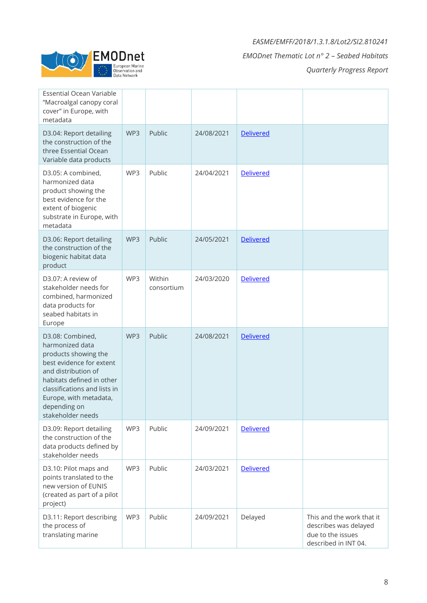

| <b>Essential Ocean Variable</b><br>"Macroalgal canopy coral<br>cover" in Europe, with<br>metadata                                                                                                                                          |     |                      |            |                  |                                                                                                 |
|--------------------------------------------------------------------------------------------------------------------------------------------------------------------------------------------------------------------------------------------|-----|----------------------|------------|------------------|-------------------------------------------------------------------------------------------------|
| D3.04: Report detailing<br>the construction of the<br>three Essential Ocean<br>Variable data products                                                                                                                                      | WP3 | Public               | 24/08/2021 | <b>Delivered</b> |                                                                                                 |
| D3.05: A combined,<br>harmonized data<br>product showing the<br>best evidence for the<br>extent of biogenic<br>substrate in Europe, with<br>metadata                                                                                       | WP3 | Public               | 24/04/2021 | <b>Delivered</b> |                                                                                                 |
| D3.06: Report detailing<br>the construction of the<br>biogenic habitat data<br>product                                                                                                                                                     | WP3 | Public               | 24/05/2021 | <b>Delivered</b> |                                                                                                 |
| D3.07: A review of<br>stakeholder needs for<br>combined, harmonized<br>data products for<br>seabed habitats in<br>Europe                                                                                                                   | WP3 | Within<br>consortium | 24/03/2020 | <b>Delivered</b> |                                                                                                 |
| D3.08: Combined,<br>harmonized data<br>products showing the<br>best evidence for extent<br>and distribution of<br>habitats defined in other<br>classifications and lists in<br>Europe, with metadata,<br>depending on<br>stakeholder needs | WP3 | Public               | 24/08/2021 | <b>Delivered</b> |                                                                                                 |
| D3.09: Report detailing<br>the construction of the<br>data products defined by<br>stakeholder needs                                                                                                                                        | WP3 | Public               | 24/09/2021 | <b>Delivered</b> |                                                                                                 |
| D3.10: Pilot maps and<br>points translated to the<br>new version of EUNIS<br>(created as part of a pilot<br>project)                                                                                                                       | WP3 | Public               | 24/03/2021 | <b>Delivered</b> |                                                                                                 |
| D3.11: Report describing<br>the process of<br>translating marine                                                                                                                                                                           | WP3 | Public               | 24/09/2021 | Delayed          | This and the work that it<br>describes was delayed<br>due to the issues<br>described in INT 04. |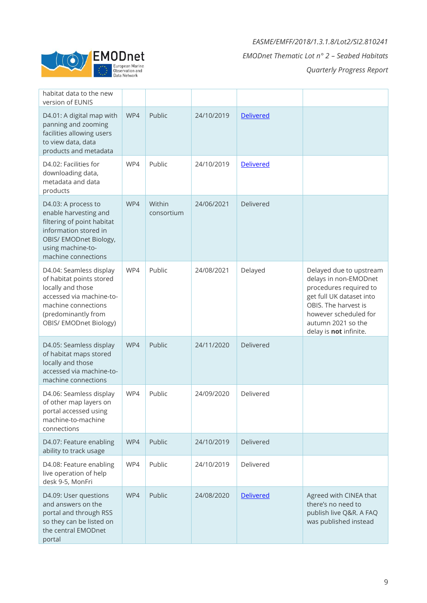

| habitat data to the new<br>version of EUNIS                                                                                                                                  |     |                      |            |                  |                                                                                                                                                                                                         |
|------------------------------------------------------------------------------------------------------------------------------------------------------------------------------|-----|----------------------|------------|------------------|---------------------------------------------------------------------------------------------------------------------------------------------------------------------------------------------------------|
| D4.01: A digital map with<br>panning and zooming<br>facilities allowing users<br>to view data, data<br>products and metadata                                                 | WP4 | Public               | 24/10/2019 | <b>Delivered</b> |                                                                                                                                                                                                         |
| D4.02: Facilities for<br>downloading data,<br>metadata and data<br>products                                                                                                  | WP4 | Public               | 24/10/2019 | <b>Delivered</b> |                                                                                                                                                                                                         |
| D4.03: A process to<br>enable harvesting and<br>filtering of point habitat<br>information stored in<br>OBIS/ EMODnet Biology,<br>using machine-to-<br>machine connections    | WP4 | Within<br>consortium | 24/06/2021 | Delivered        |                                                                                                                                                                                                         |
| D4.04: Seamless display<br>of habitat points stored<br>locally and those<br>accessed via machine-to-<br>machine connections<br>(predominantly from<br>OBIS/ EMODnet Biology) | WP4 | Public               | 24/08/2021 | Delayed          | Delayed due to upstream<br>delays in non-EMODnet<br>procedures required to<br>get full UK dataset into<br>OBIS. The harvest is<br>however scheduled for<br>autumn 2021 so the<br>delay is not infinite. |
| D4.05: Seamless display<br>of habitat maps stored<br>locally and those<br>accessed via machine-to-<br>machine connections                                                    | WP4 | Public               | 24/11/2020 | Delivered        |                                                                                                                                                                                                         |
| D4.06: Seamless display<br>of other map layers on<br>portal accessed using<br>machine-to-machine<br>connections                                                              | WP4 | Public               | 24/09/2020 | Delivered        |                                                                                                                                                                                                         |
| D4.07: Feature enabling<br>ability to track usage                                                                                                                            | WP4 | Public               | 24/10/2019 | Delivered        |                                                                                                                                                                                                         |
| D4.08: Feature enabling<br>live operation of help<br>desk 9-5, MonFri                                                                                                        | WP4 | Public               | 24/10/2019 | Delivered        |                                                                                                                                                                                                         |
| D4.09: User questions<br>and answers on the<br>portal and through RSS<br>so they can be listed on<br>the central EMODnet<br>portal                                           | WP4 | Public               | 24/08/2020 | <b>Delivered</b> | Agreed with CINEA that<br>there's no need to<br>publish live Q&R. A FAQ<br>was published instead                                                                                                        |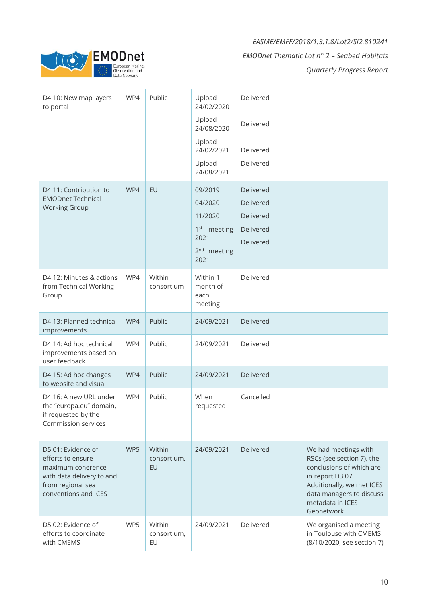

| D4.10: New map layers<br>to portal                                                                                                     | WP4 | Public                      | Upload<br>24/02/2020<br>Upload          | Delivered |                                                                                                                                                                                              |
|----------------------------------------------------------------------------------------------------------------------------------------|-----|-----------------------------|-----------------------------------------|-----------|----------------------------------------------------------------------------------------------------------------------------------------------------------------------------------------------|
|                                                                                                                                        |     |                             | 24/08/2020                              | Delivered |                                                                                                                                                                                              |
|                                                                                                                                        |     |                             | Upload<br>24/02/2021                    | Delivered |                                                                                                                                                                                              |
|                                                                                                                                        |     |                             | Upload<br>24/08/2021                    | Delivered |                                                                                                                                                                                              |
| D4.11: Contribution to<br><b>EMODnet Technical</b>                                                                                     | WP4 | EU                          | 09/2019                                 | Delivered |                                                                                                                                                                                              |
| <b>Working Group</b>                                                                                                                   |     |                             | 04/2020                                 | Delivered |                                                                                                                                                                                              |
|                                                                                                                                        |     |                             | 11/2020                                 | Delivered |                                                                                                                                                                                              |
|                                                                                                                                        |     |                             | 1 <sup>st</sup> meeting<br>2021         | Delivered |                                                                                                                                                                                              |
|                                                                                                                                        |     |                             | 2 <sup>nd</sup> meeting<br>2021         | Delivered |                                                                                                                                                                                              |
| D4.12: Minutes & actions<br>from Technical Working<br>Group                                                                            | WP4 | Within<br>consortium        | Within 1<br>month of<br>each<br>meeting | Delivered |                                                                                                                                                                                              |
| D4.13: Planned technical<br>improvements                                                                                               | WP4 | Public                      | 24/09/2021                              | Delivered |                                                                                                                                                                                              |
| D4.14: Ad hoc technical<br>improvements based on<br>user feedback                                                                      | WP4 | Public                      | 24/09/2021                              | Delivered |                                                                                                                                                                                              |
| D4.15: Ad hoc changes<br>to website and visual                                                                                         | WP4 | Public                      | 24/09/2021                              | Delivered |                                                                                                                                                                                              |
| D4.16: A new URL under<br>the "europa.eu" domain,<br>if requested by the<br>Commission services                                        | WP4 | Public                      | When<br>requested                       | Cancelled |                                                                                                                                                                                              |
| D5.01: Evidence of<br>efforts to ensure<br>maximum coherence<br>with data delivery to and<br>from regional sea<br>conventions and ICES | WP5 | Within<br>consortium,<br>EU | 24/09/2021                              | Delivered | We had meetings with<br>RSCs (see section 7), the<br>conclusions of which are<br>in report D3.07.<br>Additionally, we met ICES<br>data managers to discuss<br>metadata in ICES<br>Geonetwork |
| D5.02: Evidence of<br>efforts to coordinate<br>with CMEMS                                                                              | WP5 | Within<br>consortium,<br>EU | 24/09/2021                              | Delivered | We organised a meeting<br>in Toulouse with CMEMS<br>(8/10/2020, see section 7)                                                                                                               |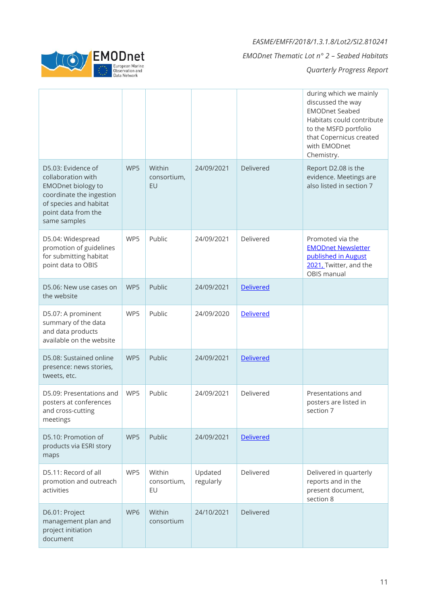*EASME/EMFF/2018/1.3.1.8/Lot2/SI2.810241*



*Quarterly Progress Report*

|                                                                                                                                                                    |                 |                             |                      |                  | during which we mainly<br>discussed the way<br><b>EMODnet Seabed</b><br>Habitats could contribute<br>to the MSFD portfolio<br>that Copernicus created<br>with EMODnet<br>Chemistry. |
|--------------------------------------------------------------------------------------------------------------------------------------------------------------------|-----------------|-----------------------------|----------------------|------------------|-------------------------------------------------------------------------------------------------------------------------------------------------------------------------------------|
| D5.03: Evidence of<br>collaboration with<br><b>EMODnet biology to</b><br>coordinate the ingestion<br>of species and habitat<br>point data from the<br>same samples | WP5             | Within<br>consortium,<br>EU | 24/09/2021           | Delivered        | Report D2.08 is the<br>evidence. Meetings are<br>also listed in section 7                                                                                                           |
| D5.04: Widespread<br>promotion of guidelines<br>for submitting habitat<br>point data to OBIS                                                                       | WP5             | Public                      | 24/09/2021           | Delivered        | Promoted via the<br><b>EMODnet Newsletter</b><br>published in August<br>2021, Twitter, and the<br>OBIS manual                                                                       |
| D5.06: New use cases on<br>the website                                                                                                                             | WP5             | Public                      | 24/09/2021           | <b>Delivered</b> |                                                                                                                                                                                     |
| D5.07: A prominent<br>summary of the data<br>and data products<br>available on the website                                                                         | WP5             | Public                      | 24/09/2020           | <b>Delivered</b> |                                                                                                                                                                                     |
| D5.08: Sustained online<br>presence: news stories,<br>tweets, etc.                                                                                                 | WP5             | Public                      | 24/09/2021           | <b>Delivered</b> |                                                                                                                                                                                     |
| D5.09: Presentations and<br>posters at conferences<br>and cross-cutting<br>meetings                                                                                | WP5             | Public                      | 24/09/2021           | Delivered        | Presentations and<br>posters are listed in<br>section 7                                                                                                                             |
| D5.10: Promotion of<br>products via ESRI story<br>maps                                                                                                             | WP5             | Public                      | 24/09/2021           | <b>Delivered</b> |                                                                                                                                                                                     |
| D5.11: Record of all<br>promotion and outreach<br>activities                                                                                                       | WP5             | Within<br>consortium,<br>EU | Updated<br>regularly | Delivered        | Delivered in quarterly<br>reports and in the<br>present document,<br>section 8                                                                                                      |
| D6.01: Project<br>management plan and<br>project initiation<br>document                                                                                            | WP <sub>6</sub> | Within<br>consortium        | 24/10/2021           | Delivered        |                                                                                                                                                                                     |

EMODnet

 $\sqrt{2}$ 

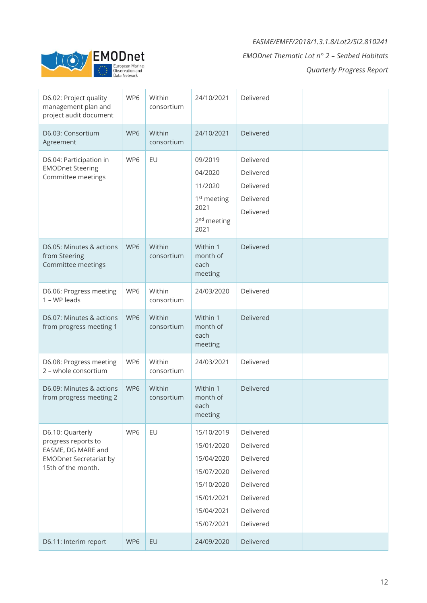

| D6.02: Project quality<br>management plan and<br>project audit document                                              | WP6 | Within<br>consortium | 24/10/2021                                                                                                   | Delivered                                                                                            |  |
|----------------------------------------------------------------------------------------------------------------------|-----|----------------------|--------------------------------------------------------------------------------------------------------------|------------------------------------------------------------------------------------------------------|--|
| D6.03: Consortium<br>Agreement                                                                                       | WP6 | Within<br>consortium | 24/10/2021                                                                                                   | Delivered                                                                                            |  |
| D6.04: Participation in<br><b>EMODnet Steering</b><br>Committee meetings                                             | WP6 | EU                   | 09/2019<br>04/2020<br>11/2020<br>1 <sup>st</sup> meeting<br>2021<br>2 <sup>nd</sup> meeting<br>2021          | Delivered<br>Delivered<br>Delivered<br>Delivered<br>Delivered                                        |  |
| D6.05: Minutes & actions<br>from Steering<br>Committee meetings                                                      | WP6 | Within<br>consortium | Within 1<br>month of<br>each<br>meeting                                                                      | Delivered                                                                                            |  |
| D6.06: Progress meeting<br>1 - WP leads                                                                              | WP6 | Within<br>consortium | 24/03/2020                                                                                                   | Delivered                                                                                            |  |
| D6.07: Minutes & actions<br>from progress meeting 1                                                                  | WP6 | Within<br>consortium | Within 1<br>month of<br>each<br>meeting                                                                      | Delivered                                                                                            |  |
| D6.08: Progress meeting<br>2 - whole consortium                                                                      | WP6 | Within<br>consortium | 24/03/2021                                                                                                   | Delivered                                                                                            |  |
| D6.09: Minutes & actions<br>from progress meeting 2                                                                  | WP6 | Within<br>consortium | Within 1<br>month of<br>each<br>meeting                                                                      | Delivered                                                                                            |  |
| D6.10: Quarterly<br>progress reports to<br>EASME, DG MARE and<br><b>EMODnet Secretariat by</b><br>15th of the month. | WP6 | EU                   | 15/10/2019<br>15/01/2020<br>15/04/2020<br>15/07/2020<br>15/10/2020<br>15/01/2021<br>15/04/2021<br>15/07/2021 | Delivered<br>Delivered<br>Delivered<br>Delivered<br>Delivered<br>Delivered<br>Delivered<br>Delivered |  |
| D6.11: Interim report                                                                                                | WP6 | EU                   | 24/09/2020                                                                                                   | Delivered                                                                                            |  |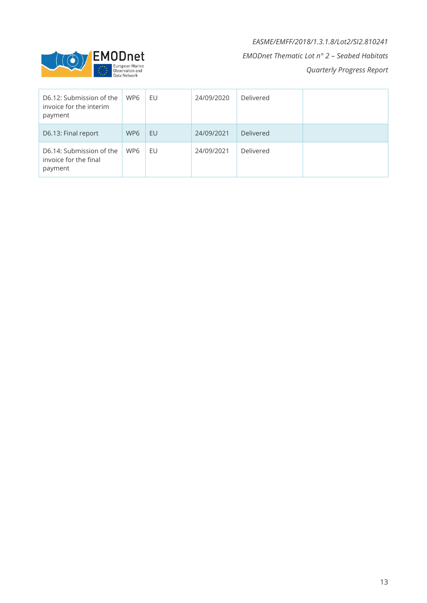EMODnet  $\Theta$ 

| D6.12: Submission of the<br>invoice for the interim<br>payment | WP <sub>6</sub> | EU | 24/09/2020 | Delivered |  |
|----------------------------------------------------------------|-----------------|----|------------|-----------|--|
| D6.13: Final report                                            | WP <sub>6</sub> | EU | 24/09/2021 | Delivered |  |
| D6.14: Submission of the<br>invoice for the final<br>payment   | WP <sub>6</sub> | EU | 24/09/2021 | Delivered |  |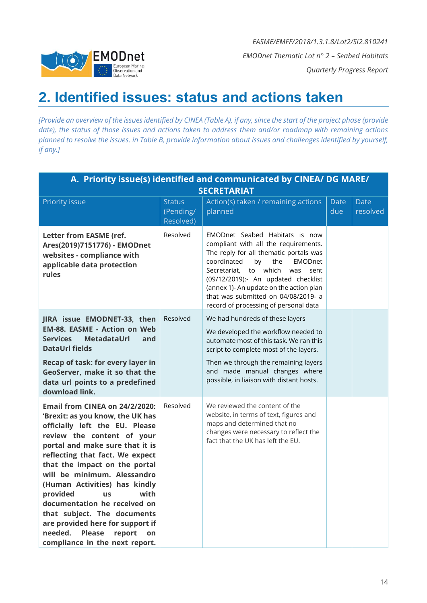

### <span id="page-13-0"></span>**2. Identified issues: status and actions taken**

*[Provide an overview of the issues identified by CINEA (Table A), if any, since the start of the project phase (provide date), the status of those issues and actions taken to address them and/or roadmap with remaining actions planned to resolve the issues. in Table B, provide information about issues and challenges identified by yourself, if any.]*

| A. Priority issue(s) identified and communicated by CINEA/ DG MARE/                                                                                                                                                                                                                                                                                                                                                                                                                                            |                            |                                                                                                                                                                                                                                                                                                                                                                      |                    |                         |  |  |  |  |  |
|----------------------------------------------------------------------------------------------------------------------------------------------------------------------------------------------------------------------------------------------------------------------------------------------------------------------------------------------------------------------------------------------------------------------------------------------------------------------------------------------------------------|----------------------------|----------------------------------------------------------------------------------------------------------------------------------------------------------------------------------------------------------------------------------------------------------------------------------------------------------------------------------------------------------------------|--------------------|-------------------------|--|--|--|--|--|
| <b>SECRETARIAT</b>                                                                                                                                                                                                                                                                                                                                                                                                                                                                                             |                            |                                                                                                                                                                                                                                                                                                                                                                      |                    |                         |  |  |  |  |  |
| <b>Priority issue</b>                                                                                                                                                                                                                                                                                                                                                                                                                                                                                          | <b>Status</b><br>(Pending/ | Action(s) taken / remaining actions<br>planned                                                                                                                                                                                                                                                                                                                       | <b>Date</b><br>due | <b>Date</b><br>resolved |  |  |  |  |  |
|                                                                                                                                                                                                                                                                                                                                                                                                                                                                                                                | Resolved)                  |                                                                                                                                                                                                                                                                                                                                                                      |                    |                         |  |  |  |  |  |
| Letter from EASME (ref.<br>Ares(2019)7151776) - EMODnet<br>websites - compliance with<br>applicable data protection<br>rules                                                                                                                                                                                                                                                                                                                                                                                   | Resolved                   | EMODnet Seabed Habitats is now<br>compliant with all the requirements.<br>The reply for all thematic portals was<br>coordinated<br>the<br>EMODnet<br>by<br>to which<br>Secretariat,<br>was<br>sent<br>(09/12/2019):- An updated checklist<br>(annex 1)- An update on the action plan<br>that was submitted on 04/08/2019- a<br>record of processing of personal data |                    |                         |  |  |  |  |  |
| JIRA issue EMODNET-33, then<br><b>EM-88. EASME - Action on Web</b><br>Services MetadataUrl<br>and<br><b>DataUrl fields</b>                                                                                                                                                                                                                                                                                                                                                                                     | Resolved                   | We had hundreds of these layers<br>We developed the workflow needed to<br>automate most of this task. We ran this<br>script to complete most of the layers.                                                                                                                                                                                                          |                    |                         |  |  |  |  |  |
| Recap of task: for every layer in<br>GeoServer, make it so that the<br>data url points to a predefined<br>download link.                                                                                                                                                                                                                                                                                                                                                                                       |                            | Then we through the remaining layers<br>and made manual changes where<br>possible, in liaison with distant hosts.                                                                                                                                                                                                                                                    |                    |                         |  |  |  |  |  |
| Email from CINEA on 24/2/2020:<br>'Brexit: as you know, the UK has<br>officially left the EU. Please<br>review the content of your<br>portal and make sure that it is<br>reflecting that fact. We expect<br>that the impact on the portal<br>will be minimum. Alessandro<br>(Human Activities) has kindly<br>provided us with<br>documentation he received on<br>that subject. The documents<br>are provided here for support if<br>needed.<br><b>Please</b><br>report<br>on<br>compliance in the next report. | Resolved                   | We reviewed the content of the<br>website, in terms of text, figures and<br>maps and determined that no<br>changes were necessary to reflect the<br>fact that the UK has left the EU.                                                                                                                                                                                |                    |                         |  |  |  |  |  |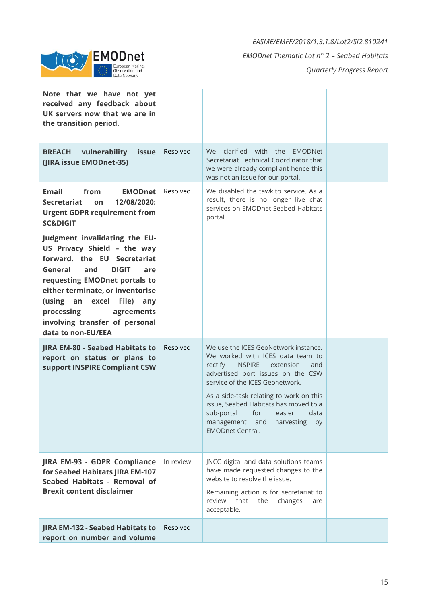

| Note that we have not yet<br>received any feedback about<br>UK servers now that we are in<br>the transition period.                                                                                                                                                                                                           |           |                                                                                                                                                                                                                                                                                                                                                                                        |  |
|-------------------------------------------------------------------------------------------------------------------------------------------------------------------------------------------------------------------------------------------------------------------------------------------------------------------------------|-----------|----------------------------------------------------------------------------------------------------------------------------------------------------------------------------------------------------------------------------------------------------------------------------------------------------------------------------------------------------------------------------------------|--|
| <b>BREACH</b><br>vulnerability<br><b>issue</b><br>(JIRA issue EMODnet-35)                                                                                                                                                                                                                                                     | Resolved  | clarified<br>with the<br>EMODNet<br>We<br>Secretariat Technical Coordinator that<br>we were already compliant hence this<br>was not an issue for our portal.                                                                                                                                                                                                                           |  |
| <b>Email</b><br>from<br><b>EMODnet</b><br><b>Secretariat</b><br>12/08/2020:<br>on<br><b>Urgent GDPR requirement from</b><br><b>SC&amp;DIGIT</b>                                                                                                                                                                               | Resolved  | We disabled the tawk.to service. As a<br>result, there is no longer live chat<br>services on EMODnet Seabed Habitats<br>portal                                                                                                                                                                                                                                                         |  |
| Judgment invalidating the EU-<br>US Privacy Shield - the way<br>forward, the EU Secretariat<br>General<br>and<br><b>DIGIT</b><br>are<br>requesting EMODnet portals to<br>either terminate, or inventorise<br>(using an excel File)<br>any<br>processing<br>agreements<br>involving transfer of personal<br>data to non-EU/EEA |           |                                                                                                                                                                                                                                                                                                                                                                                        |  |
| JIRA EM-80 - Seabed Habitats to<br>report on status or plans to<br>support INSPIRE Compliant CSW                                                                                                                                                                                                                              | Resolved  | We use the ICES GeoNetwork instance.<br>We worked with ICES data team to<br>rectify INSPIRE<br>extension<br>and<br>advertised port issues on the CSW<br>service of the ICES Geonetwork.<br>As a side-task relating to work on this<br>issue, Seabed Habitats has moved to a<br>sub-portal<br>for<br>easier<br>data<br>harvesting<br>by<br>management<br>and<br><b>EMODnet Central.</b> |  |
| JIRA EM-93 - GDPR Compliance<br>for Seabed Habitats JIRA EM-107<br>Seabed Habitats - Removal of<br><b>Brexit content disclaimer</b>                                                                                                                                                                                           | In review | JNCC digital and data solutions teams<br>have made requested changes to the<br>website to resolve the issue.<br>Remaining action is for secretariat to<br>review that<br>the<br>changes<br>are<br>acceptable.                                                                                                                                                                          |  |
| JIRA EM-132 - Seabed Habitats to<br>report on number and volume                                                                                                                                                                                                                                                               | Resolved  |                                                                                                                                                                                                                                                                                                                                                                                        |  |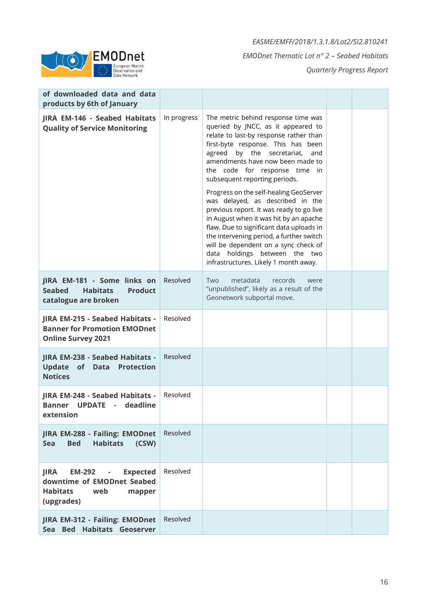

| of downloaded data and data<br>products by 6th of January                                                                       |             |                                                                                                                                                                                                                                                                                                                                                                                                                                                                                                                                                                                                                                                                                    |  |
|---------------------------------------------------------------------------------------------------------------------------------|-------------|------------------------------------------------------------------------------------------------------------------------------------------------------------------------------------------------------------------------------------------------------------------------------------------------------------------------------------------------------------------------------------------------------------------------------------------------------------------------------------------------------------------------------------------------------------------------------------------------------------------------------------------------------------------------------------|--|
| JIRA EM-146 - Seabed Habitats<br><b>Quality of Service Monitoring</b>                                                           | In progress | The metric behind response time was<br>queried by JNCC, as it appeared to<br>relate to last-by response rather than<br>first-byte response. This has been<br>agreed by the secretariat,<br>and<br>amendments have now been made to<br>the code for response time in<br>subsequent reporting periods.<br>Progress on the self-healing GeoServer<br>was delayed, as described in the<br>previous report. It was ready to go live<br>in August when it was hit by an apache<br>flaw. Due to significant data uploads in<br>the intervening period, a further switch<br>will be dependent on a sync check of<br>data holdings between the two<br>infrastructures. Likely 1 month away. |  |
| JIRA EM-181 - Some links on<br><b>Seabed</b><br><b>Habitats</b><br><b>Product</b><br>catalogue are broken                       | Resolved    | metadata<br>Two<br>records<br>were<br>"unpublished", likely as a result of the<br>Geonetwork subportal move.                                                                                                                                                                                                                                                                                                                                                                                                                                                                                                                                                                       |  |
| JIRA EM-215 - Seabed Habitats -<br><b>Banner for Promotion EMODnet</b><br><b>Online Survey 2021</b>                             | Resolved    |                                                                                                                                                                                                                                                                                                                                                                                                                                                                                                                                                                                                                                                                                    |  |
| JIRA EM-238 - Seabed Habitats -<br><b>Update of Data Protection</b><br><b>Notices</b>                                           | Resolved    |                                                                                                                                                                                                                                                                                                                                                                                                                                                                                                                                                                                                                                                                                    |  |
| JIRA EM-248 - Seabed Habitats -<br><b>UPDATE</b><br>- deadline<br><b>Banner</b><br>extension                                    | Resolved    |                                                                                                                                                                                                                                                                                                                                                                                                                                                                                                                                                                                                                                                                                    |  |
| JIRA EM-288 - Failing: EMODnet<br><b>Bed</b><br><b>Habitats</b><br>Sea<br>(CSW)                                                 | Resolved    |                                                                                                                                                                                                                                                                                                                                                                                                                                                                                                                                                                                                                                                                                    |  |
| <b>Expected</b><br><b>JIRA</b><br><b>EM-292</b><br>downtime of EMODnet Seabed<br><b>Habitats</b><br>web<br>mapper<br>(upgrades) | Resolved    |                                                                                                                                                                                                                                                                                                                                                                                                                                                                                                                                                                                                                                                                                    |  |
| JIRA EM-312 - Failing: EMODnet<br>Sea Bed Habitats Geoserver                                                                    | Resolved    |                                                                                                                                                                                                                                                                                                                                                                                                                                                                                                                                                                                                                                                                                    |  |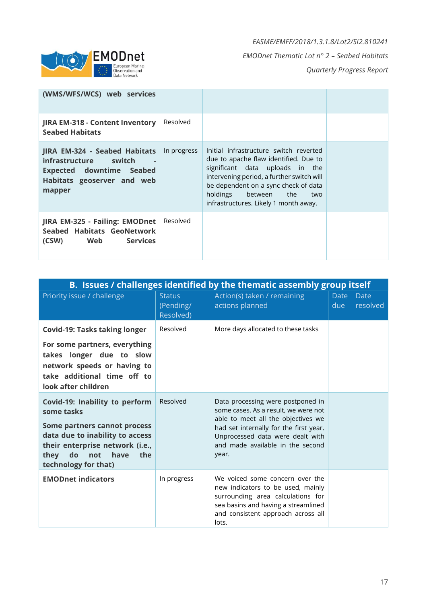

| (WMS/WFS/WCS) web services                                                                                                        |             |                                                                                                                                                                                                                                                                                    |  |
|-----------------------------------------------------------------------------------------------------------------------------------|-------------|------------------------------------------------------------------------------------------------------------------------------------------------------------------------------------------------------------------------------------------------------------------------------------|--|
| <b>JIRA EM-318 - Content Inventory</b><br><b>Seabed Habitats</b>                                                                  | Resolved    |                                                                                                                                                                                                                                                                                    |  |
| JIRA EM-324 - Seabed Habitats<br>infrastructure switch<br><b>Expected downtime Seabed</b><br>Habitats geoserver and web<br>mapper | In progress | Initial infrastructure switch reverted<br>due to apache flaw identified. Due to<br>significant data uploads in the<br>intervening period, a further switch will<br>be dependent on a sync check of data<br>holdings<br>between the<br>two<br>infrastructures. Likely 1 month away. |  |
| JIRA EM-325 - Failing: EMODnet<br>Seabed Habitats GeoNetwork<br>(CSW) Web Services                                                | Resolved    |                                                                                                                                                                                                                                                                                    |  |

| B. Issues / challenges identified by the thematic assembly group itself                                                                                                                                     |                                         |                                                                                                                                                                                                                                            |             |                         |  |  |
|-------------------------------------------------------------------------------------------------------------------------------------------------------------------------------------------------------------|-----------------------------------------|--------------------------------------------------------------------------------------------------------------------------------------------------------------------------------------------------------------------------------------------|-------------|-------------------------|--|--|
| Priority issue / challenge                                                                                                                                                                                  | <b>Status</b><br>(Pending/<br>Resolved) | Action(s) taken / remaining<br>actions planned                                                                                                                                                                                             | Date<br>due | <b>Date</b><br>resolved |  |  |
| <b>Covid-19: Tasks taking longer</b><br>For some partners, everything<br>takes longer due to slow<br>network speeds or having to<br>take additional time off to<br>look after children                      | Resolved                                | More days allocated to these tasks                                                                                                                                                                                                         |             |                         |  |  |
| Covid-19: Inability to perform<br>some tasks<br>Some partners cannot process<br>data due to inability to access<br>their enterprise network (i.e.,<br>do<br>not have<br>the<br>they<br>technology for that) | Resolved                                | Data processing were postponed in<br>some cases. As a result, we were not<br>able to meet all the objectives we<br>had set internally for the first year.<br>Unprocessed data were dealt with<br>and made available in the second<br>year. |             |                         |  |  |
| <b>EMODnet indicators</b>                                                                                                                                                                                   | In progress                             | We voiced some concern over the<br>new indicators to be used, mainly<br>surrounding area calculations for<br>sea basins and having a streamlined<br>and consistent approach across all<br>lots.                                            |             |                         |  |  |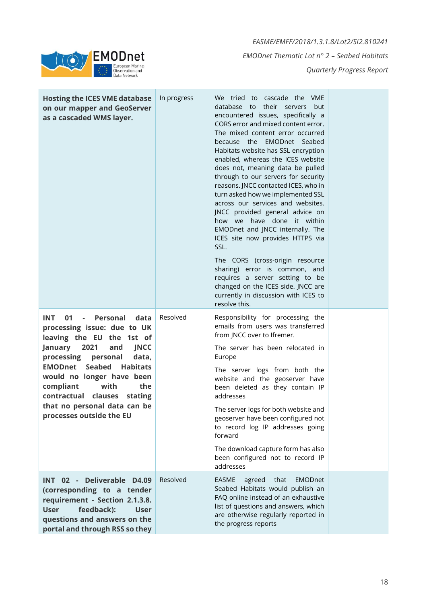

| <b>Hosting the ICES VME database</b><br>on our mapper and GeoServer<br>as a cascaded WMS layer.                                                                                                                                                                                                                                                                                    | In progress | We tried to cascade the VME<br>database to their servers but<br>encountered issues, specifically a<br>CORS error and mixed content error.<br>The mixed content error occurred<br>because the EMODnet Seabed<br>Habitats website has SSL encryption<br>enabled, whereas the ICES website<br>does not, meaning data be pulled<br>through to our servers for security<br>reasons. JNCC contacted ICES, who in<br>turn asked how we implemented SSL<br>across our services and websites.<br>JNCC provided general advice on<br>how we have done it within<br>EMODnet and JNCC internally. The<br>ICES site now provides HTTPS via<br>SSL.<br>The CORS (cross-origin resource<br>sharing) error is common, and<br>requires a server setting to be<br>changed on the ICES side. JNCC are<br>currently in discussion with ICES to<br>resolve this. |  |
|------------------------------------------------------------------------------------------------------------------------------------------------------------------------------------------------------------------------------------------------------------------------------------------------------------------------------------------------------------------------------------|-------------|---------------------------------------------------------------------------------------------------------------------------------------------------------------------------------------------------------------------------------------------------------------------------------------------------------------------------------------------------------------------------------------------------------------------------------------------------------------------------------------------------------------------------------------------------------------------------------------------------------------------------------------------------------------------------------------------------------------------------------------------------------------------------------------------------------------------------------------------|--|
| 01 - Personal<br>INT.<br>data<br>processing issue: due to UK<br>leaving the EU the 1st of<br>2021<br>January<br>and<br><b>JNCC</b><br>processing<br>personal<br>data,<br><b>Seabed</b><br><b>EMODnet</b><br><b>Habitats</b><br>would no longer have been<br>with<br>compliant<br>the<br>contractual clauses<br>stating<br>that no personal data can be<br>processes outside the EU | Resolved    | Responsibility for processing the<br>emails from users was transferred<br>from JNCC over to Ifremer.<br>The server has been relocated in<br>Europe<br>The server logs from both the<br>website and the geoserver have<br>been deleted as they contain IP<br>addresses<br>The server logs for both website and<br>geoserver have been configured not<br>to record log IP addresses going<br>forward<br>The download capture form has also<br>been configured not to record IP<br>addresses                                                                                                                                                                                                                                                                                                                                                   |  |
| INT 02 - Deliverable D4.09<br>(corresponding to a tender<br>requirement - Section 2.1.3.8.<br>feedback):<br><b>User</b><br><b>User</b><br>questions and answers on the<br>portal and through RSS so they                                                                                                                                                                           | Resolved    | <b>EMODnet</b><br><b>EASME</b><br>agreed<br>that<br>Seabed Habitats would publish an<br>FAQ online instead of an exhaustive<br>list of questions and answers, which<br>are otherwise regularly reported in<br>the progress reports                                                                                                                                                                                                                                                                                                                                                                                                                                                                                                                                                                                                          |  |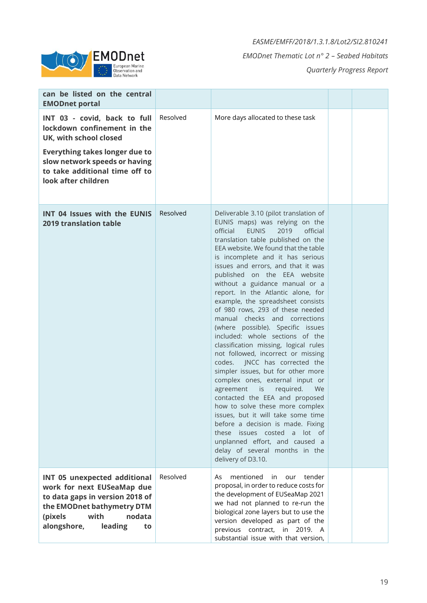

| can be listed on the central<br><b>EMODnet portal</b>                                                                                                                                                                    |          |                                                                                                                                                                                                                                                                                                                                                                                                                                                                                                                                                                                                                                                                                                                                                                                                                                                                                                                                                                                                                                                                                                              |  |
|--------------------------------------------------------------------------------------------------------------------------------------------------------------------------------------------------------------------------|----------|--------------------------------------------------------------------------------------------------------------------------------------------------------------------------------------------------------------------------------------------------------------------------------------------------------------------------------------------------------------------------------------------------------------------------------------------------------------------------------------------------------------------------------------------------------------------------------------------------------------------------------------------------------------------------------------------------------------------------------------------------------------------------------------------------------------------------------------------------------------------------------------------------------------------------------------------------------------------------------------------------------------------------------------------------------------------------------------------------------------|--|
| INT 03 - covid, back to full<br>lockdown confinement in the<br>UK, with school closed<br><b>Everything takes longer due to</b><br>slow network speeds or having<br>to take additional time off to<br>look after children | Resolved | More days allocated to these task                                                                                                                                                                                                                                                                                                                                                                                                                                                                                                                                                                                                                                                                                                                                                                                                                                                                                                                                                                                                                                                                            |  |
| INT 04 Issues with the EUNIS<br><b>2019 translation table</b>                                                                                                                                                            | Resolved | Deliverable 3.10 (pilot translation of<br>EUNIS maps) was relying on the<br>official<br>official<br><b>EUNIS</b><br>2019<br>translation table published on the<br>EEA website. We found that the table<br>is incomplete and it has serious<br>issues and errors, and that it was<br>published on the EEA website<br>without a guidance manual or a<br>report. In the Atlantic alone, for<br>example, the spreadsheet consists<br>of 980 rows, 293 of these needed<br>manual checks and corrections<br>(where possible). Specific issues<br>included: whole sections of the<br>classification missing, logical rules<br>not followed, incorrect or missing<br>codes. JNCC has corrected the<br>simpler issues, but for other more<br>complex ones, external input or<br>$\overline{\phantom{a}}$ is<br>required.<br>agreement<br>We<br>contacted the EEA and proposed<br>how to solve these more complex<br>issues, but it will take some time<br>before a decision is made. Fixing<br>these issues costed a lot of<br>unplanned effort, and caused a<br>delay of several months in the<br>delivery of D3.10. |  |
| <b>INT 05 unexpected additional</b><br>work for next EUSeaMap due<br>to data gaps in version 2018 of<br>the EMODnet bathymetry DTM<br>with<br>nodata<br>(pixels<br>alongshore,<br>leading<br>to                          | Resolved | mentioned<br>tender<br>As<br>in.<br>our<br>proposal, in order to reduce costs for<br>the development of EUSeaMap 2021<br>we had not planned to re-run the<br>biological zone layers but to use the<br>version developed as part of the<br>previous contract, in 2019. A<br>substantial issue with that version,                                                                                                                                                                                                                                                                                                                                                                                                                                                                                                                                                                                                                                                                                                                                                                                              |  |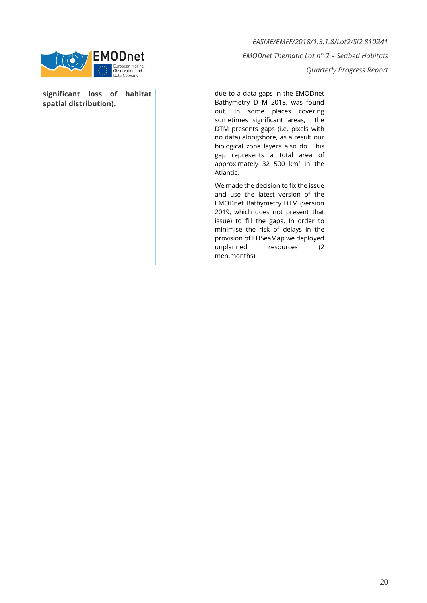

| significant loss of habitat<br>spatial distribution). | due to a data gaps in the EMODnet<br>Bathymetry DTM 2018, was found<br>out. In some places covering<br>sometimes significant areas, the<br>DTM presents gaps (i.e. pixels with<br>no data) alongshore, as a result our<br>biological zone layers also do. This<br>gap represents a total area of<br>approximately 32 500 km <sup>2</sup> in the<br>Atlantic. |     |
|-------------------------------------------------------|--------------------------------------------------------------------------------------------------------------------------------------------------------------------------------------------------------------------------------------------------------------------------------------------------------------------------------------------------------------|-----|
|                                                       | We made the decision to fix the issue<br>and use the latest version of the<br><b>EMODnet Bathymetry DTM (version</b><br>2019, which does not present that<br>issue) to fill the gaps. In order to<br>minimise the risk of delays in the<br>provision of EUSeaMap we deployed<br>unplanned<br>resources<br>men.months)                                        | (2) |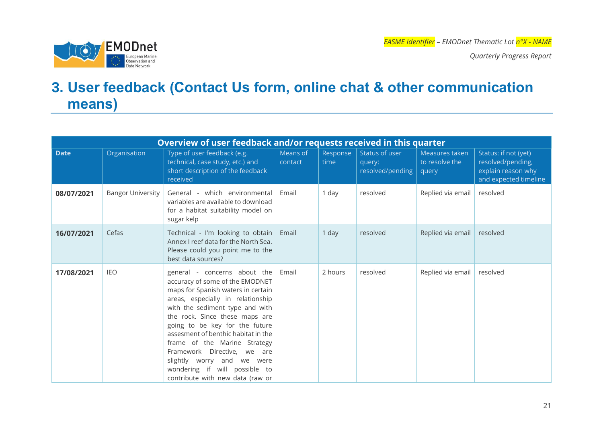*EASME Identifier – EMODnet Thematic Lot n°X - NAME*

*Quarterly Progress Report*

### **3. User feedback (Contact Us form, online chat & other communication means)**

<span id="page-20-0"></span>

| Overview of user feedback and/or requests received in this quarter |                          |                                                                                                                                                                                                                                                                                                                                                                                                                                                            |                     |                  |                                              |                                           |                                                                                          |
|--------------------------------------------------------------------|--------------------------|------------------------------------------------------------------------------------------------------------------------------------------------------------------------------------------------------------------------------------------------------------------------------------------------------------------------------------------------------------------------------------------------------------------------------------------------------------|---------------------|------------------|----------------------------------------------|-------------------------------------------|------------------------------------------------------------------------------------------|
| <b>Date</b>                                                        | Organisation             | Type of user feedback (e.g.<br>technical, case study, etc.) and<br>short description of the feedback<br>received                                                                                                                                                                                                                                                                                                                                           | Means of<br>contact | Response<br>time | Status of user<br>query:<br>resolved/pending | Measures taken<br>to resolve the<br>query | Status: if not (yet)<br>resolved/pending,<br>explain reason why<br>and expected timeline |
| 08/07/2021                                                         | <b>Bangor University</b> | General - which environmental<br>variables are available to download<br>for a habitat suitability model on<br>sugar kelp                                                                                                                                                                                                                                                                                                                                   | Email               | 1 day            | resolved                                     | Replied via email                         | resolved                                                                                 |
| 16/07/2021                                                         | Cefas                    | Technical - I'm looking to obtain<br>Annex I reef data for the North Sea.<br>Please could you point me to the<br>best data sources?                                                                                                                                                                                                                                                                                                                        | Email               | 1 day            | resolved                                     | Replied via email                         | resolved                                                                                 |
| 17/08/2021                                                         | <b>IEO</b>               | general - concerns about the<br>accuracy of some of the EMODNET<br>maps for Spanish waters in certain<br>areas, especially in relationship<br>with the sediment type and with<br>the rock. Since these maps are<br>going to be key for the future<br>assesment of benthic habitat in the<br>frame of the Marine Strategy<br>Framework Directive, we are<br>slightly worry and we were<br>wondering if will possible to<br>contribute with new data (raw or | Email               | 2 hours          | resolved                                     | Replied via email                         | resolved                                                                                 |

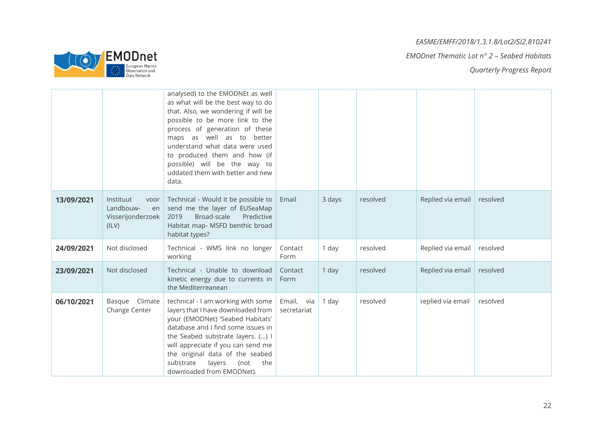**EMODnet** Data Network

*EASME/EMFF/2018/1.3.1.8/Lot2/SI2.810241 EMODnet Thematic Lot n° 2 – Seabed Habitats*

*Quarterly Progress Report*

|            |                                                                    | analysed) to the EMODNEt as well<br>as what will be the best way to do<br>that. Also, we wondering if will be<br>possible to be more link to the<br>process of generation of these<br>maps as well as to better<br>understand what data were used<br>to produced them and how (if<br>possible) will be the way to<br>uddated them with better and new<br>data. |                           |        |          |                   |          |
|------------|--------------------------------------------------------------------|----------------------------------------------------------------------------------------------------------------------------------------------------------------------------------------------------------------------------------------------------------------------------------------------------------------------------------------------------------------|---------------------------|--------|----------|-------------------|----------|
| 13/09/2021 | Instituut<br>voor<br>Landbouw-<br>en<br>Visserijonderzoek<br>(ILV) | Technical - Would it be possible to<br>send me the layer of EUSeaMap<br>Broad-scale<br>Predictive<br>2019<br>Habitat map- MSFD benthic broad<br>habitat types?                                                                                                                                                                                                 | Email                     | 3 days | resolved | Replied via email | resolved |
| 24/09/2021 | Not disclosed                                                      | Technical - WMS link no longer<br>working                                                                                                                                                                                                                                                                                                                      | Contact<br>Form           | 1 day  | resolved | Replied via email | resolved |
| 23/09/2021 | Not disclosed                                                      | Technical - Unable to download<br>kinetic energy due to currents in<br>the Mediterreanean                                                                                                                                                                                                                                                                      | Contact<br>Form           | 1 day  | resolved | Replied via email | resolved |
| 06/10/2021 | Basque Climate<br>Change Center                                    | technical - I am working with some<br>layers that I have downloaded from<br>your (EMODNet) 'Seabed Habitats'<br>database and I find some issues in<br>the Seabed substrate layers. () I<br>will appreciate if you can send me<br>the original data of the seabed<br>substrate<br>layers<br>(not<br>the<br>downloaded from EMODNet).                            | Email, via<br>secretariat | 1 day  | resolved | replied via email | resolved |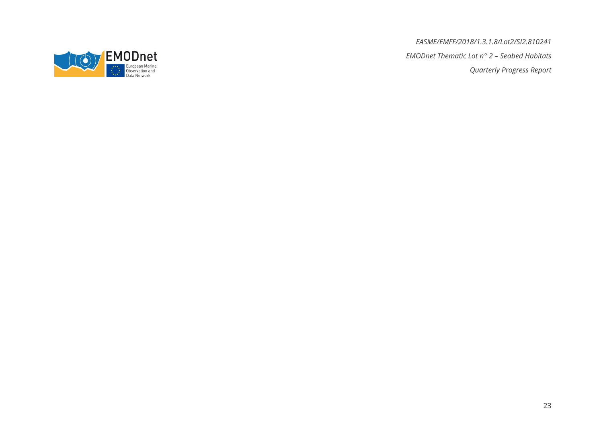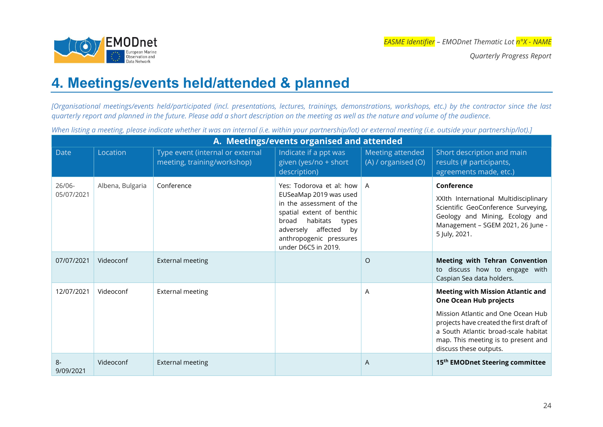

*Quarterly Progress Report*

### **4. Meetings/events held/attended & planned**

*[Organisational meetings/events held/participated (incl. presentations, lectures, trainings, demonstrations, workshops, etc.) by the contractor since the last quarterly report and planned in the future. Please add a short description on the meeting as well as the nature and volume of the audience.*

*When listing a meeting, please indicate whether it was an internal (i.e. within your partnership/lot) or external meeting (i.e. outside your partnership/lot).]*

<span id="page-23-0"></span>

| A. Meetings/events organised and attended |                  |                                                                 |                                                                                                                                                                                                                                |                                         |                                                                                                                                                                                                                                                                      |  |  |
|-------------------------------------------|------------------|-----------------------------------------------------------------|--------------------------------------------------------------------------------------------------------------------------------------------------------------------------------------------------------------------------------|-----------------------------------------|----------------------------------------------------------------------------------------------------------------------------------------------------------------------------------------------------------------------------------------------------------------------|--|--|
| <b>Date</b>                               | Location         | Type event (internal or external<br>meeting, training/workshop) | Indicate if a ppt was<br>given (yes/no + short<br>description)                                                                                                                                                                 | Meeting attended<br>(A) / organised (O) | Short description and main<br>results (# participants,<br>agreements made, etc.)                                                                                                                                                                                     |  |  |
| $26/06 -$<br>05/07/2021                   | Albena, Bulgaria | Conference                                                      | Yes: Todorova et al: how   A<br>EUSeaMap 2019 was used<br>in the assessment of the<br>spatial extent of benthic<br>habitats<br>broad<br>types<br>affected<br>adversely<br>by<br>anthropogenic pressures<br>under D6C5 in 2019. |                                         | Conference<br>XXIth International Multidisciplinary<br>Scientific GeoConference Surveying,<br>Geology and Mining, Ecology and<br>Management - SGEM 2021, 26 June -<br>5 July, 2021.                                                                                  |  |  |
| 07/07/2021                                | Videoconf        | <b>External meeting</b>                                         |                                                                                                                                                                                                                                | $\circ$                                 | <b>Meeting with Tehran Convention</b><br>to discuss how to engage with<br>Caspian Sea data holders.                                                                                                                                                                  |  |  |
| 12/07/2021                                | Videoconf        | <b>External meeting</b>                                         |                                                                                                                                                                                                                                | A                                       | <b>Meeting with Mission Atlantic and</b><br><b>One Ocean Hub projects</b><br>Mission Atlantic and One Ocean Hub<br>projects have created the first draft of<br>a South Atlantic broad-scale habitat<br>map. This meeting is to present and<br>discuss these outputs. |  |  |
| $8-$<br>9/09/2021                         | Videoconf        | <b>External meeting</b>                                         |                                                                                                                                                                                                                                | A                                       | 15 <sup>th</sup> EMODnet Steering committee                                                                                                                                                                                                                          |  |  |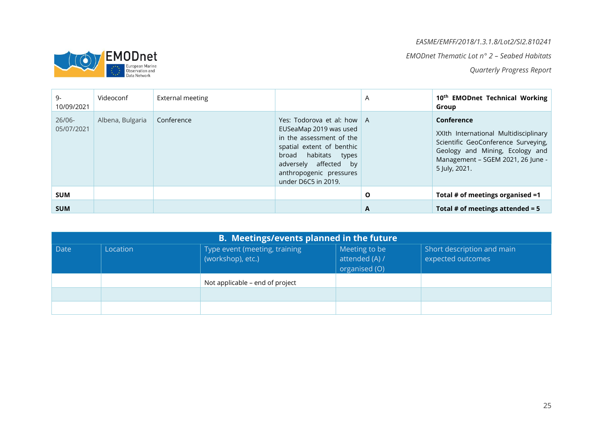*EASME/EMFF/2018/1.3.1.8/Lot2/SI2.810241*

*EMODnet Thematic Lot n° 2 – Seabed Habitats*

*Quarterly Progress Report*

| $9-$<br>10/09/2021      | Videoconf        | External meeting |                                                                                                                                                                                                                    | A | 10 <sup>th</sup> EMODnet Technical Working<br>Group                                                                                                                                 |
|-------------------------|------------------|------------------|--------------------------------------------------------------------------------------------------------------------------------------------------------------------------------------------------------------------|---|-------------------------------------------------------------------------------------------------------------------------------------------------------------------------------------|
| $26/06 -$<br>05/07/2021 | Albena, Bulgaria | Conference       | Yes: Todorova et al: how   A<br>EUSeaMap 2019 was used<br>in the assessment of the<br>spatial extent of benthic<br>broad habitats types<br>adversely affected by<br>anthropogenic pressures<br>under D6C5 in 2019. |   | Conference<br>XXIth International Multidisciplinary<br>Scientific GeoConference Surveying,<br>Geology and Mining, Ecology and<br>Management - SGEM 2021, 26 June -<br>5 July, 2021. |
| <b>SUM</b>              |                  |                  |                                                                                                                                                                                                                    | O | Total # of meetings organised =1                                                                                                                                                    |
| <b>SUM</b>              |                  |                  |                                                                                                                                                                                                                    | A | Total # of meetings attended = $5$                                                                                                                                                  |

| <b>B. Meetings/events planned in the future</b> |          |                                                    |                                                  |                                                 |  |  |
|-------------------------------------------------|----------|----------------------------------------------------|--------------------------------------------------|-------------------------------------------------|--|--|
| Date                                            | Location | Type event (meeting, training<br>(workshop), etc.) | Meeting to be<br>attended (A) /<br>organised (O) | Short description and main<br>expected outcomes |  |  |
|                                                 |          | Not applicable – end of project                    |                                                  |                                                 |  |  |
|                                                 |          |                                                    |                                                  |                                                 |  |  |
|                                                 |          |                                                    |                                                  |                                                 |  |  |

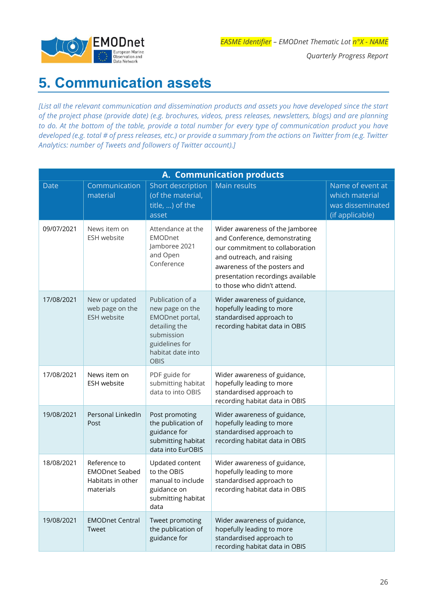

*Quarterly Progress Report*

## <span id="page-25-0"></span>**5. Communication assets**

*[List all the relevant communication and dissemination products and assets you have developed since the start of the project phase (provide date) (e.g. brochures, videos, press releases, newsletters, blogs) and are planning to do. At the bottom of the table, provide a total number for every type of communication product you have developed (e.g. total # of press releases, etc.) or provide a summary from the actions on Twitter from (e.g. Twitter Analytics: number of Tweets and followers of Twitter account).]*

| A. Communication products |                                                                         |                                                                                                                                             |                                                                                                                                                                                                                                      |                                                                           |
|---------------------------|-------------------------------------------------------------------------|---------------------------------------------------------------------------------------------------------------------------------------------|--------------------------------------------------------------------------------------------------------------------------------------------------------------------------------------------------------------------------------------|---------------------------------------------------------------------------|
| <b>Date</b>               | Communication<br>material                                               | Short description<br>(of the material,<br>title, ) of the<br>asset                                                                          | Main results                                                                                                                                                                                                                         | Name of event at<br>which material<br>was disseminated<br>(if applicable) |
| 09/07/2021                | News item on<br><b>ESH</b> website                                      | Attendance at the<br><b>EMODnet</b><br>Jamboree 2021<br>and Open<br>Conference                                                              | Wider awareness of the Jamboree<br>and Conference, demonstrating<br>our commitment to collaboration<br>and outreach, and raising<br>awareness of the posters and<br>presentation recordings available<br>to those who didn't attend. |                                                                           |
| 17/08/2021                | New or updated<br>web page on the<br><b>ESH</b> website                 | Publication of a<br>new page on the<br>EMODnet portal,<br>detailing the<br>submission<br>guidelines for<br>habitat date into<br><b>OBIS</b> | Wider awareness of guidance,<br>hopefully leading to more<br>standardised approach to<br>recording habitat data in OBIS                                                                                                              |                                                                           |
| 17/08/2021                | News item on<br><b>ESH</b> website                                      | PDF guide for<br>submitting habitat<br>data to into OBIS                                                                                    | Wider awareness of guidance,<br>hopefully leading to more<br>standardised approach to<br>recording habitat data in OBIS                                                                                                              |                                                                           |
| 19/08/2021                | Personal LinkedIn<br>Post                                               | Post promoting<br>the publication of<br>guidance for<br>submitting habitat<br>data into EurOBIS                                             | Wider awareness of guidance,<br>hopefully leading to more<br>standardised approach to<br>recording habitat data in OBIS                                                                                                              |                                                                           |
| 18/08/2021                | Reference to<br><b>EMODnet Seabed</b><br>Habitats in other<br>materials | Updated content<br>to the OBIS<br>manual to include<br>guidance on<br>submitting habitat<br>data                                            | Wider awareness of guidance,<br>hopefully leading to more<br>standardised approach to<br>recording habitat data in OBIS                                                                                                              |                                                                           |
| 19/08/2021                | <b>EMODnet Central</b><br>Tweet                                         | Tweet promoting<br>the publication of<br>guidance for                                                                                       | Wider awareness of guidance,<br>hopefully leading to more<br>standardised approach to<br>recording habitat data in OBIS                                                                                                              |                                                                           |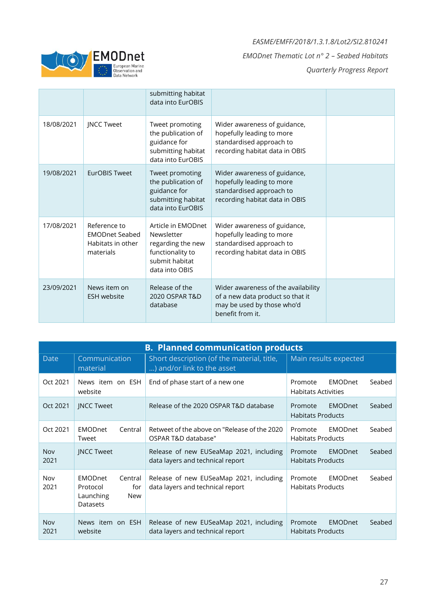

|            |                                                                         | submitting habitat<br>data into EurOBIS                                                                       |                                                                                                                           |  |
|------------|-------------------------------------------------------------------------|---------------------------------------------------------------------------------------------------------------|---------------------------------------------------------------------------------------------------------------------------|--|
| 18/08/2021 | <b>JNCC Tweet</b>                                                       | Tweet promoting<br>the publication of<br>guidance for<br>submitting habitat<br>data into EurOBIS              | Wider awareness of guidance,<br>hopefully leading to more<br>standardised approach to<br>recording habitat data in OBIS   |  |
| 19/08/2021 | EurOBIS Tweet                                                           | Tweet promoting<br>the publication of<br>guidance for<br>submitting habitat<br>data into EurOBIS              | Wider awareness of guidance,<br>hopefully leading to more<br>standardised approach to<br>recording habitat data in OBIS   |  |
| 17/08/2021 | Reference to<br><b>EMODnet Seabed</b><br>Habitats in other<br>materials | Article in EMODnet<br>Newsletter<br>regarding the new<br>functionality to<br>submit habitat<br>data into OBIS | Wider awareness of guidance,<br>hopefully leading to more<br>standardised approach to<br>recording habitat data in OBIS   |  |
| 23/09/2021 | News item on<br><b>ESH</b> website                                      | Release of the<br>2020 OSPAR T&D<br>database                                                                  | Wider awareness of the availability<br>of a new data product so that it<br>may be used by those who'd<br>benefit from it. |  |

| <b>B. Planned communication products</b> |                                                                                     |                                                                             |                                                                 |  |
|------------------------------------------|-------------------------------------------------------------------------------------|-----------------------------------------------------------------------------|-----------------------------------------------------------------|--|
| <b>Date</b>                              | Communication<br>material                                                           | Short description (of the material, title,<br>) and/or link to the asset    | Main results expected                                           |  |
| Oct 2021                                 | News item on ESH<br>website                                                         | End of phase start of a new one                                             | EMODnet<br>Seabed<br>Promote<br><b>Habitats Activities</b>      |  |
| Oct 2021                                 | <b>JNCC Tweet</b>                                                                   | Release of the 2020 OSPAR T&D database                                      | <b>FMODnet</b><br>Seabed<br>Promote<br><b>Habitats Products</b> |  |
| Oct 2021                                 | <b>EMODnet</b><br>Central<br>Tweet                                                  | Retweet of the above on "Release of the 2020<br>OSPAR T&D database"         | EMODnet<br>Seabed<br>Promote<br><b>Habitats Products</b>        |  |
| Nov<br>2021                              | <b>JNCC Tweet</b>                                                                   | Release of new EUSeaMap 2021, including<br>data layers and technical report | <b>EMODnet</b><br>Seabed<br>Promote<br><b>Habitats Products</b> |  |
| Nov<br>2021                              | Central<br><b>EMODnet</b><br>for<br>Protocol<br>Launching<br>New<br><b>Datasets</b> | Release of new EUSeaMap 2021, including<br>data layers and technical report | Seabed<br><b>EMODnet</b><br>Promote<br><b>Habitats Products</b> |  |
| <b>Nov</b><br>2021                       | News item on ESH<br>website                                                         | Release of new EUSeaMap 2021, including<br>data layers and technical report | <b>FMODnet</b><br>Seabed<br>Promote<br><b>Habitats Products</b> |  |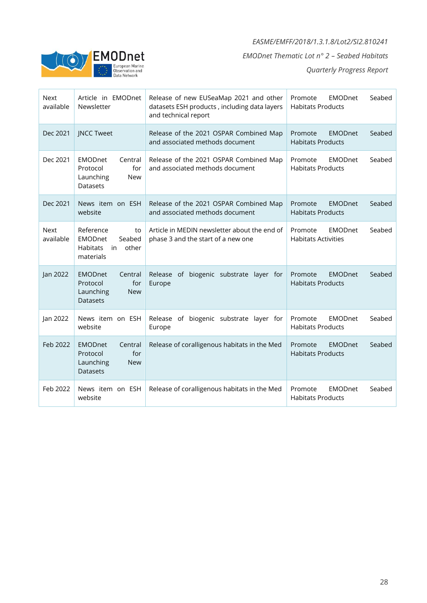#### *EASME/EMFF/2018/1.3.1.8/Lot2/SI2.810241*



*EMODnet Thematic Lot n° 2 – Seabed Habitats*

*Quarterly Progress Report*

| <b>Next</b><br>available | Article in EMODnet<br>Newsletter                                                           | Release of new EUSeaMap 2021 and other<br>datasets ESH products, including data layers<br>and technical report | Seabed<br>Promote<br>EMODnet<br><b>Habitats Products</b>        |
|--------------------------|--------------------------------------------------------------------------------------------|----------------------------------------------------------------------------------------------------------------|-----------------------------------------------------------------|
| Dec 2021                 | <b>JNCC Tweet</b>                                                                          | Release of the 2021 OSPAR Combined Map<br>and associated methods document                                      | Promote<br><b>EMODnet</b><br>Seabed<br><b>Habitats Products</b> |
| Dec 2021                 | <b>EMODnet</b><br>Central<br>Protocol<br>for<br>Launching<br><b>New</b><br><b>Datasets</b> | Release of the 2021 OSPAR Combined Map<br>and associated methods document                                      | EMODnet<br>Seabed<br>Promote<br><b>Habitats Products</b>        |
| Dec 2021                 | News item on ESH<br>website                                                                | Release of the 2021 OSPAR Combined Map<br>and associated methods document                                      | EMODnet<br>Seabed<br>Promote<br><b>Habitats Products</b>        |
| <b>Next</b><br>available | Reference<br>to<br><b>EMODnet</b><br>Seabed<br>Habitats<br>other<br>in<br>materials        | Article in MEDIN newsletter about the end of<br>phase 3 and the start of a new one                             | EMODnet<br>Seabed<br>Promote<br><b>Habitats Activities</b>      |
| Jan 2022                 | <b>EMODnet</b><br>Central<br>Protocol<br>for<br>Launching<br><b>New</b><br><b>Datasets</b> | Release of biogenic substrate layer for<br>Europe                                                              | Seabed<br><b>EMODnet</b><br>Promote<br><b>Habitats Products</b> |
| Jan 2022                 | News item on ESH<br>website                                                                | Release of biogenic substrate layer for<br>Europe                                                              | Seabed<br>Promote<br>EMODnet<br><b>Habitats Products</b>        |
| Feb 2022                 | <b>EMODnet</b><br>Central<br>for<br>Protocol<br>Launching<br><b>New</b><br><b>Datasets</b> | Release of coralligenous habitats in the Med                                                                   | Promote<br><b>EMODnet</b><br>Seabed<br><b>Habitats Products</b> |
| Feb 2022                 | News item on ESH<br>website                                                                | Release of coralligenous habitats in the Med                                                                   | Seabed<br>Promote<br>EMODnet<br><b>Habitats Products</b>        |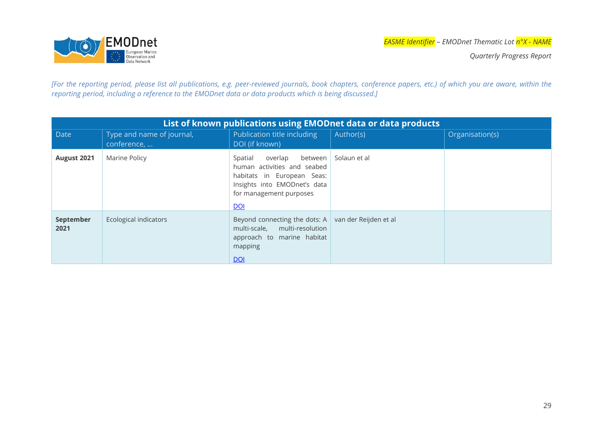

*Quarterly Progress Report*

*[For the reporting period, please list all publications, e.g. peer-reviewed journals, book chapters, conference papers, etc.) of which you are aware, within the reporting period, including a reference to the EMODnet data or data products which is being discussed.]*

| List of known publications using EMODnet data or data products |                                          |                                                                                                                                                                  |              |                 |  |
|----------------------------------------------------------------|------------------------------------------|------------------------------------------------------------------------------------------------------------------------------------------------------------------|--------------|-----------------|--|
| <b>Date</b>                                                    | Type and name of journal,<br>conference, | Publication title including<br>DOI (if known)                                                                                                                    | Author(s)    | Organisation(s) |  |
| August 2021                                                    | Marine Policy                            | between<br>Spatial<br>overlap<br>human activities and seabed<br>habitats in European Seas:<br>Insights into EMODnet's data<br>for management purposes<br>DOL     | Solaun et al |                 |  |
| September<br>2021                                              | Ecological indicators                    | Beyond connecting the dots: $A \mid \text{van der Reijden et al}$<br>multi-scale, multi-resolution<br>approach to marine habitat<br>mapping<br>$\underline{DOL}$ |              |                 |  |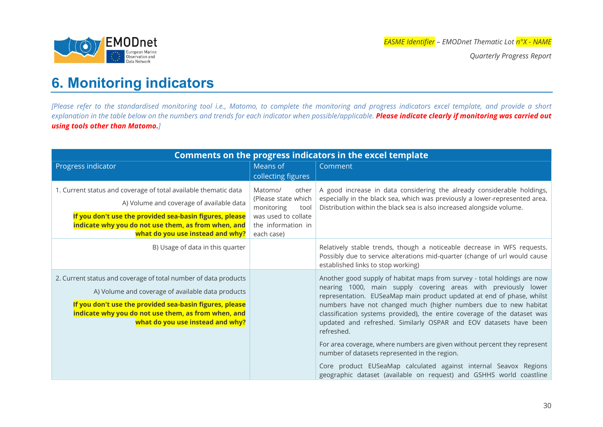

*Quarterly Progress Report*

### **6. Monitoring indicators**

*[Please refer to the standardised monitoring tool i.e., Matomo, to complete the monitoring and progress indicators excel template, and provide a short explanation in the table below on the numbers and trends for each indicator when possible/applicable. Please indicate clearly if monitoring was carried out using tools other than Matomo.]*

<span id="page-29-0"></span>

| Comments on the progress indicators in the excel template                                                                                                                                                                                                                  |                                                               |                                                                                                                                                                                                                                                                                                                                                                                                                                                        |  |  |
|----------------------------------------------------------------------------------------------------------------------------------------------------------------------------------------------------------------------------------------------------------------------------|---------------------------------------------------------------|--------------------------------------------------------------------------------------------------------------------------------------------------------------------------------------------------------------------------------------------------------------------------------------------------------------------------------------------------------------------------------------------------------------------------------------------------------|--|--|
| Progress indicator                                                                                                                                                                                                                                                         | Means of                                                      | Comment                                                                                                                                                                                                                                                                                                                                                                                                                                                |  |  |
|                                                                                                                                                                                                                                                                            | collecting figures                                            |                                                                                                                                                                                                                                                                                                                                                                                                                                                        |  |  |
| 1. Current status and coverage of total available thematic data<br>A) Volume and coverage of available data                                                                                                                                                                | Matomo/<br>other<br>(Please state which<br>monitoring<br>tool | A good increase in data considering the already considerable holdings,<br>especially in the black sea, which was previously a lower-represented area.<br>Distribution within the black sea is also increased alongside volume.                                                                                                                                                                                                                         |  |  |
| If you don't use the provided sea-basin figures, please<br>indicate why you do not use them, as from when, and<br>what do you use instead and why?                                                                                                                         | was used to collate<br>the information in<br>each case)       |                                                                                                                                                                                                                                                                                                                                                                                                                                                        |  |  |
| B) Usage of data in this quarter                                                                                                                                                                                                                                           |                                                               | Relatively stable trends, though a noticeable decrease in WFS requests.<br>Possibly due to service alterations mid-quarter (change of url would cause<br>established links to stop working)                                                                                                                                                                                                                                                            |  |  |
| 2. Current status and coverage of total number of data products<br>A) Volume and coverage of available data products<br>If you don't use the provided sea-basin figures, please<br>indicate why you do not use them, as from when, and<br>what do you use instead and why? |                                                               | Another good supply of habitat maps from survey - total holdings are now<br>nearing 1000, main supply covering areas with previously lower<br>representation. EUSeaMap main product updated at end of phase, whilst<br>numbers have not changed much (higher numbers due to new habitat<br>classification systems provided), the entire coverage of the dataset was<br>updated and refreshed. Similarly OSPAR and EOV datasets have been<br>refreshed. |  |  |
|                                                                                                                                                                                                                                                                            |                                                               | For area coverage, where numbers are given without percent they represent<br>number of datasets represented in the region.<br>Core product EUSeaMap calculated against internal Seavox Regions<br>geographic dataset (available on request) and GSHHS world coastline                                                                                                                                                                                  |  |  |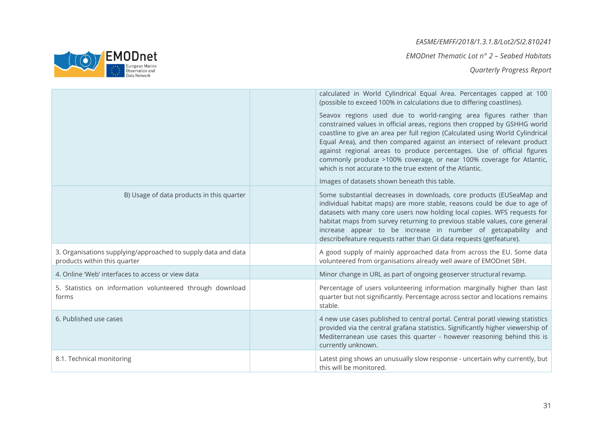

*EASME/EMFF/2018/1.3.1.8/Lot2/SI2.810241*

*EMODnet Thematic Lot n° 2 – Seabed Habitats*

*Quarterly Progress Report*

|                                                                                               | calculated in World Cylindrical Equal Area. Percentages capped at 100<br>(possible to exceed 100% in calculations due to differing coastlines).                                                                                                                                                                                                                                                                                                                                                                                                                           |
|-----------------------------------------------------------------------------------------------|---------------------------------------------------------------------------------------------------------------------------------------------------------------------------------------------------------------------------------------------------------------------------------------------------------------------------------------------------------------------------------------------------------------------------------------------------------------------------------------------------------------------------------------------------------------------------|
|                                                                                               | Seavox regions used due to world-ranging area figures rather than<br>constrained values in official areas, regions then cropped by GSHHG world<br>coastline to give an area per full region (Calculated using World Cylindrical<br>Equal Area), and then compared against an intersect of relevant product<br>against regional areas to produce percentages. Use of official figures<br>commonly produce >100% coverage, or near 100% coverage for Atlantic,<br>which is not accurate to the true extent of the Atlantic.<br>Images of datasets shown beneath this table. |
| B) Usage of data products in this quarter                                                     | Some substantial decreases in downloads, core products (EUSeaMap and<br>individual habitat maps) are more stable, reasons could be due to age of<br>datasets with many core users now holding local copies. WFS requests for<br>habitat maps from survey returning to previous stable values, core general<br>increase appear to be increase in number of getcapability and<br>describefeature requests rather than GI data requests (getfeature).                                                                                                                        |
| 3. Organisations supplying/approached to supply data and data<br>products within this quarter | A good supply of mainly approached data from across the EU. Some data<br>volunteered from organisations already well aware of EMODnet SBH.                                                                                                                                                                                                                                                                                                                                                                                                                                |
| 4. Online 'Web' interfaces to access or view data                                             | Minor change in URL as part of ongoing geoserver structural revamp.                                                                                                                                                                                                                                                                                                                                                                                                                                                                                                       |
| 5. Statistics on information volunteered through download<br>forms                            | Percentage of users volunteering information marginally higher than last<br>quarter but not significantly. Percentage across sector and locations remains<br>stable.                                                                                                                                                                                                                                                                                                                                                                                                      |
| 6. Published use cases                                                                        | 4 new use cases published to central portal. Central poratl viewing statistics<br>provided via the central grafana statistics. Significantly higher viewership of<br>Mediterranean use cases this quarter - however reasoning behind this is<br>currently unknown.                                                                                                                                                                                                                                                                                                        |
| 8.1. Technical monitoring                                                                     | Latest ping shows an unusually slow response - uncertain why currently, but<br>this will be monitored.                                                                                                                                                                                                                                                                                                                                                                                                                                                                    |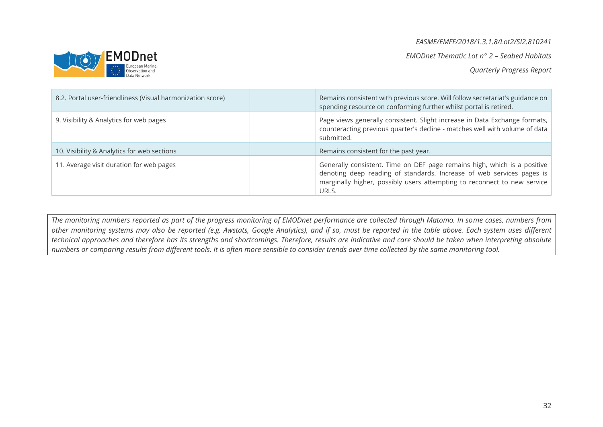#### *EASME/EMFF/2018/1.3.1.8/Lot2/SI2.810241*

*EMODnet Thematic Lot n° 2 – Seabed Habitats*

*Quarterly Progress Report*



| 8.2. Portal user-friendliness (Visual harmonization score) | Remains consistent with previous score. Will follow secretariat's guidance on<br>spending resource on conforming further whilst portal is retired.                                                                                     |  |
|------------------------------------------------------------|----------------------------------------------------------------------------------------------------------------------------------------------------------------------------------------------------------------------------------------|--|
| 9. Visibility & Analytics for web pages                    | Page views generally consistent. Slight increase in Data Exchange formats,<br>counteracting previous quarter's decline - matches well with volume of data<br>submitted.                                                                |  |
| 10. Visibility & Analytics for web sections                | Remains consistent for the past year.                                                                                                                                                                                                  |  |
| 11. Average visit duration for web pages                   | Generally consistent. Time on DEF page remains high, which is a positive<br>denoting deep reading of standards. Increase of web services pages is<br>marginally higher, possibly users attempting to reconnect to new service<br>URLS. |  |

*The monitoring numbers reported as part of the progress monitoring of EMODnet performance are collected through Matomo. In some cases, numbers from other monitoring systems may also be reported (e.g. Awstats, Google Analytics), and if so, must be reported in the table above. Each system uses different technical approaches and therefore has its strengths and shortcomings. Therefore, results are indicative and care should be taken when interpreting absolute numbers or comparing results from different tools. It is often more sensible to consider trends over time collected by the same monitoring tool.*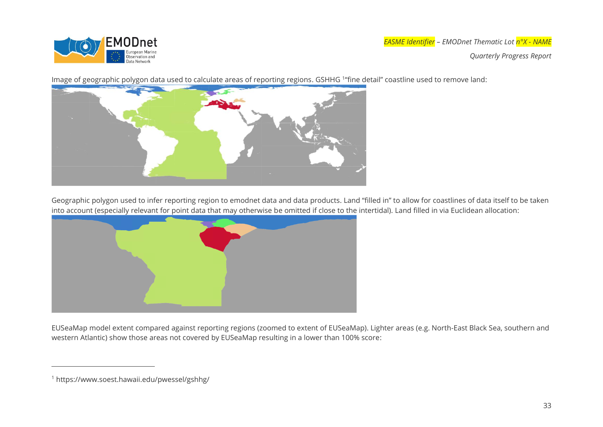

*Quarterly Progress Report*

lmage of geographic polygon data used to calculate areas of reporting regions. GSHHG <sup>1</sup>"fine detail" coastline used to remove land:



Geographic polygon used to infer reporting region to emodnet data and data products. Land "filled in" to allow for coastlines of data itself to be taken into account (especially relevant for point data that may otherwise be omitted if close to the intertidal). Land filled in via Euclidean allocation:



EUSeaMap model extent compared against reporting regions (zoomed to extent of EUSeaMap). Lighter areas (e.g. North-East Black Sea, southern and western Atlantic) show those areas not covered by EUSeaMap resulting in a lower than 100% score:

<sup>1</sup> https://www.soest.hawaii.edu/pwessel/gshhg/